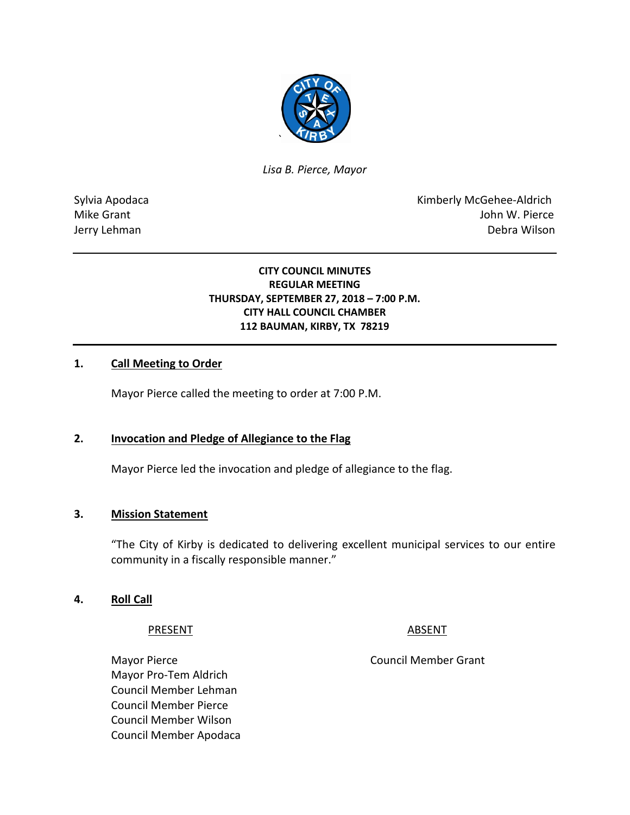

*Lisa B. Pierce, Mayor* 

Sylvia Apodaca **Kimberly McGehee-Aldrich** Mike Grant **Mike Grant** John W. Pierce Jerry Lehman Debra Wilson

### **CITY COUNCIL MINUTES REGULAR MEETING THURSDAY, SEPTEMBER 27, 2018 – 7:00 P.M. CITY HALL COUNCIL CHAMBER 112 BAUMAN, KIRBY, TX 78219**

## **1. Call Meeting to Order**

Mayor Pierce called the meeting to order at 7:00 P.M.

#### **2. Invocation and Pledge of Allegiance to the Flag**

Mayor Pierce led the invocation and pledge of allegiance to the flag.

#### **3. Mission Statement**

"The City of Kirby is dedicated to delivering excellent municipal services to our entire community in a fiscally responsible manner."

#### **4. Roll Call**

PRESENT ABSENT

Mayor Pro-Tem Aldrich Council Member Lehman Council Member Pierce Council Member Wilson Council Member Apodaca

Mayor Pierce **Council Member Grant**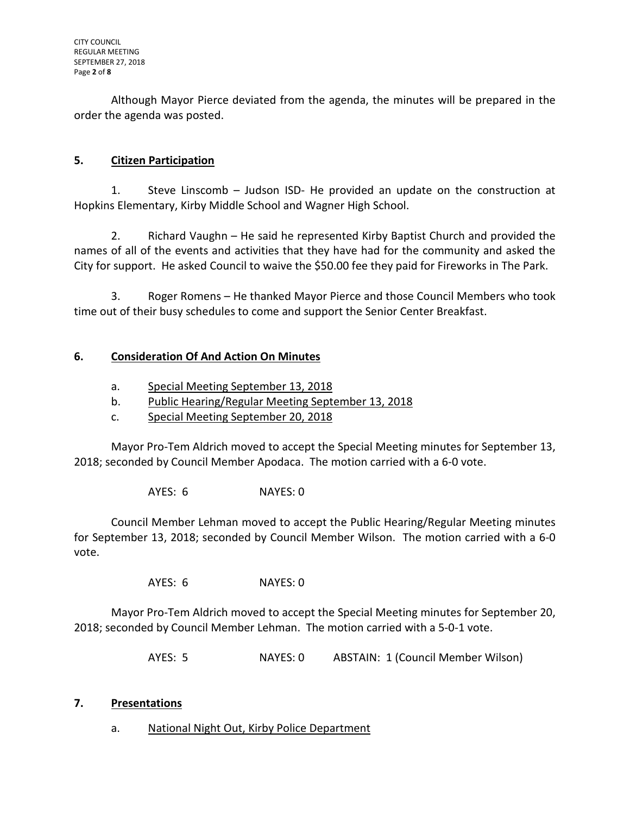Although Mayor Pierce deviated from the agenda, the minutes will be prepared in the order the agenda was posted.

# **5. Citizen Participation**

1. Steve Linscomb – Judson ISD- He provided an update on the construction at Hopkins Elementary, Kirby Middle School and Wagner High School.

2. Richard Vaughn – He said he represented Kirby Baptist Church and provided the names of all of the events and activities that they have had for the community and asked the City for support. He asked Council to waive the \$50.00 fee they paid for Fireworks in The Park.

3. Roger Romens – He thanked Mayor Pierce and those Council Members who took time out of their busy schedules to come and support the Senior Center Breakfast.

# **6. Consideration Of And Action On Minutes**

- a. Special Meeting September 13, 2018
- b. Public Hearing/Regular Meeting September 13, 2018
- c. Special Meeting September 20, 2018

Mayor Pro-Tem Aldrich moved to accept the Special Meeting minutes for September 13, 2018; seconded by Council Member Apodaca. The motion carried with a 6-0 vote.

AYES: 6 NAYES: 0

Council Member Lehman moved to accept the Public Hearing/Regular Meeting minutes for September 13, 2018; seconded by Council Member Wilson. The motion carried with a 6-0 vote.

AYES: 6 NAYES: 0

Mayor Pro-Tem Aldrich moved to accept the Special Meeting minutes for September 20, 2018; seconded by Council Member Lehman. The motion carried with a 5-0-1 vote.

AYES: 5 NAYES: 0 ABSTAIN: 1 (Council Member Wilson)

### **7. Presentations**

a. National Night Out, Kirby Police Department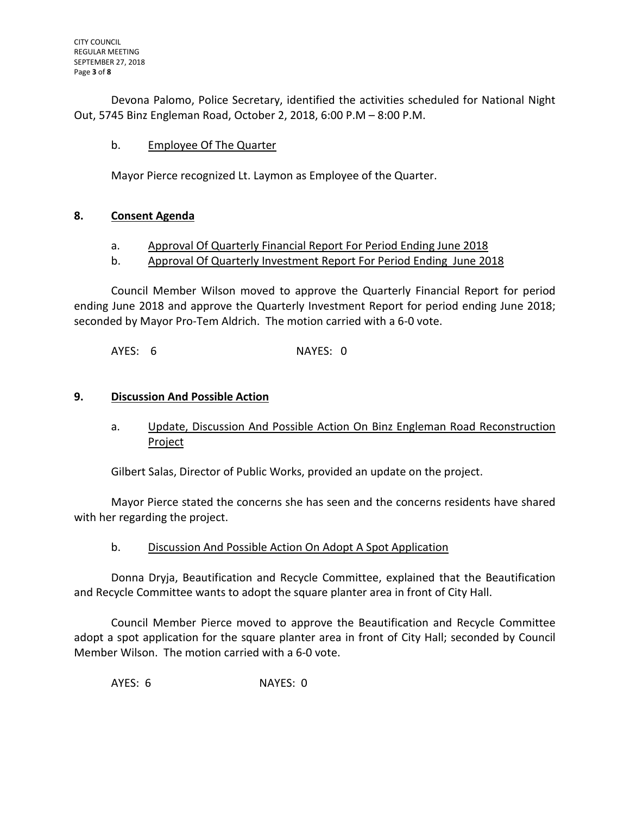Devona Palomo, Police Secretary, identified the activities scheduled for National Night Out, 5745 Binz Engleman Road, October 2, 2018, 6:00 P.M – 8:00 P.M.

## b. Employee Of The Quarter

Mayor Pierce recognized Lt. Laymon as Employee of the Quarter.

## **8. Consent Agenda**

- a. Approval Of Quarterly Financial Report For Period Ending June 2018
- b. Approval Of Quarterly Investment Report For Period Ending June 2018

Council Member Wilson moved to approve the Quarterly Financial Report for period ending June 2018 and approve the Quarterly Investment Report for period ending June 2018; seconded by Mayor Pro-Tem Aldrich. The motion carried with a 6-0 vote.

AYES: 6 NAYES: 0

### **9. Discussion And Possible Action**

a. Update, Discussion And Possible Action On Binz Engleman Road Reconstruction Project

Gilbert Salas, Director of Public Works, provided an update on the project.

Mayor Pierce stated the concerns she has seen and the concerns residents have shared with her regarding the project.

b. Discussion And Possible Action On Adopt A Spot Application

Donna Dryja, Beautification and Recycle Committee, explained that the Beautification and Recycle Committee wants to adopt the square planter area in front of City Hall.

Council Member Pierce moved to approve the Beautification and Recycle Committee adopt a spot application for the square planter area in front of City Hall; seconded by Council Member Wilson. The motion carried with a 6-0 vote.

AYES: 6 NAYES: 0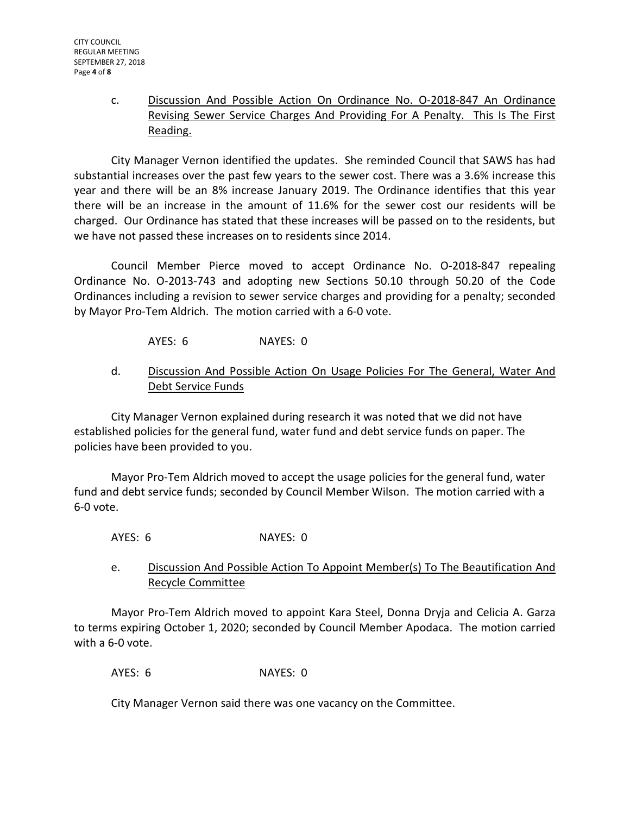c. Discussion And Possible Action On Ordinance No. O-2018-847 An Ordinance Revising Sewer Service Charges And Providing For A Penalty. This Is The First Reading.

City Manager Vernon identified the updates. She reminded Council that SAWS has had substantial increases over the past few years to the sewer cost. There was a 3.6% increase this year and there will be an 8% increase January 2019. The Ordinance identifies that this year there will be an increase in the amount of 11.6% for the sewer cost our residents will be charged. Our Ordinance has stated that these increases will be passed on to the residents, but we have not passed these increases on to residents since 2014.

Council Member Pierce moved to accept Ordinance No. O-2018-847 repealing Ordinance No. O-2013-743 and adopting new Sections 50.10 through 50.20 of the Code Ordinances including a revision to sewer service charges and providing for a penalty; seconded by Mayor Pro-Tem Aldrich. The motion carried with a 6-0 vote.

AYES: 6 NAYES: 0

d. Discussion And Possible Action On Usage Policies For The General, Water And Debt Service Funds

City Manager Vernon explained during research it was noted that we did not have established policies for the general fund, water fund and debt service funds on paper. The policies have been provided to you.

Mayor Pro-Tem Aldrich moved to accept the usage policies for the general fund, water fund and debt service funds; seconded by Council Member Wilson. The motion carried with a 6-0 vote.

AYES: 6 NAYES: 0

e. Discussion And Possible Action To Appoint Member(s) To The Beautification And Recycle Committee

Mayor Pro-Tem Aldrich moved to appoint Kara Steel, Donna Dryja and Celicia A. Garza to terms expiring October 1, 2020; seconded by Council Member Apodaca. The motion carried with a 6-0 vote.

AYES: 6 NAYES: 0

City Manager Vernon said there was one vacancy on the Committee.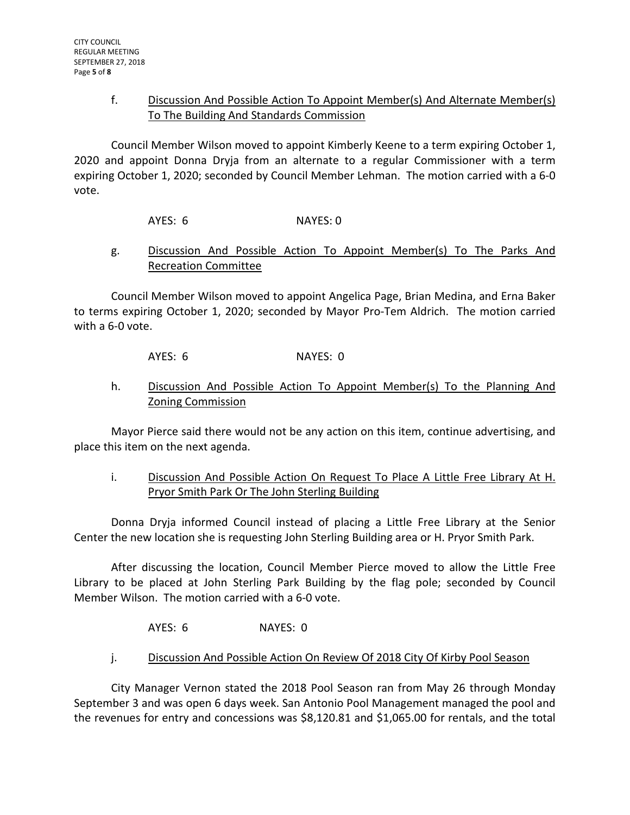## f. Discussion And Possible Action To Appoint Member(s) And Alternate Member(s) To The Building And Standards Commission

Council Member Wilson moved to appoint Kimberly Keene to a term expiring October 1, 2020 and appoint Donna Dryja from an alternate to a regular Commissioner with a term expiring October 1, 2020; seconded by Council Member Lehman. The motion carried with a 6-0 vote.

AYES: 6 NAYES: 0

## g. Discussion And Possible Action To Appoint Member(s) To The Parks And Recreation Committee

Council Member Wilson moved to appoint Angelica Page, Brian Medina, and Erna Baker to terms expiring October 1, 2020; seconded by Mayor Pro-Tem Aldrich. The motion carried with a 6-0 vote.

AYES: 6 NAYES: 0

## h. Discussion And Possible Action To Appoint Member(s) To the Planning And Zoning Commission

Mayor Pierce said there would not be any action on this item, continue advertising, and place this item on the next agenda.

# i. Discussion And Possible Action On Request To Place A Little Free Library At H. Pryor Smith Park Or The John Sterling Building

Donna Dryja informed Council instead of placing a Little Free Library at the Senior Center the new location she is requesting John Sterling Building area or H. Pryor Smith Park.

After discussing the location, Council Member Pierce moved to allow the Little Free Library to be placed at John Sterling Park Building by the flag pole; seconded by Council Member Wilson. The motion carried with a 6-0 vote.

AYES: 6 NAYES: 0

# j. Discussion And Possible Action On Review Of 2018 City Of Kirby Pool Season

City Manager Vernon stated the 2018 Pool Season ran from May 26 through Monday September 3 and was open 6 days week. San Antonio Pool Management managed the pool and the revenues for entry and concessions was \$8,120.81 and \$1,065.00 for rentals, and the total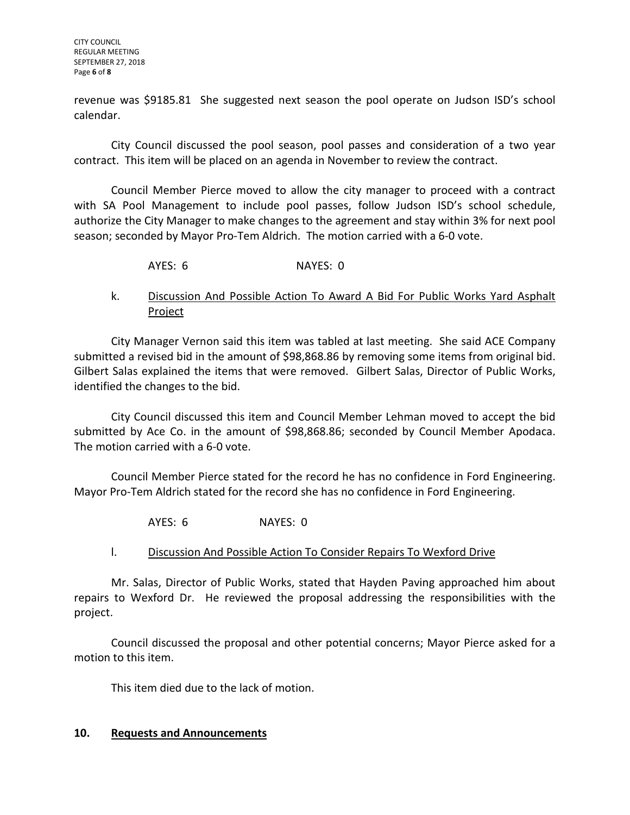CITY COUNCIL REGULAR MEETING SEPTEMBER 27, 2018 Page **6** of **8**

revenue was \$9185.81 She suggested next season the pool operate on Judson ISD's school calendar.

City Council discussed the pool season, pool passes and consideration of a two year contract. This item will be placed on an agenda in November to review the contract.

Council Member Pierce moved to allow the city manager to proceed with a contract with SA Pool Management to include pool passes, follow Judson ISD's school schedule, authorize the City Manager to make changes to the agreement and stay within 3% for next pool season; seconded by Mayor Pro-Tem Aldrich. The motion carried with a 6-0 vote.

AYES: 6 NAYES: 0

## k. Discussion And Possible Action To Award A Bid For Public Works Yard Asphalt Project

City Manager Vernon said this item was tabled at last meeting. She said ACE Company submitted a revised bid in the amount of \$98,868.86 by removing some items from original bid. Gilbert Salas explained the items that were removed. Gilbert Salas, Director of Public Works, identified the changes to the bid.

City Council discussed this item and Council Member Lehman moved to accept the bid submitted by Ace Co. in the amount of \$98,868.86; seconded by Council Member Apodaca. The motion carried with a 6-0 vote.

Council Member Pierce stated for the record he has no confidence in Ford Engineering. Mayor Pro-Tem Aldrich stated for the record she has no confidence in Ford Engineering.

AYES: 6 NAYES: 0

### l. Discussion And Possible Action To Consider Repairs To Wexford Drive

Mr. Salas, Director of Public Works, stated that Hayden Paving approached him about repairs to Wexford Dr. He reviewed the proposal addressing the responsibilities with the project.

Council discussed the proposal and other potential concerns; Mayor Pierce asked for a motion to this item.

This item died due to the lack of motion.

### **10. Requests and Announcements**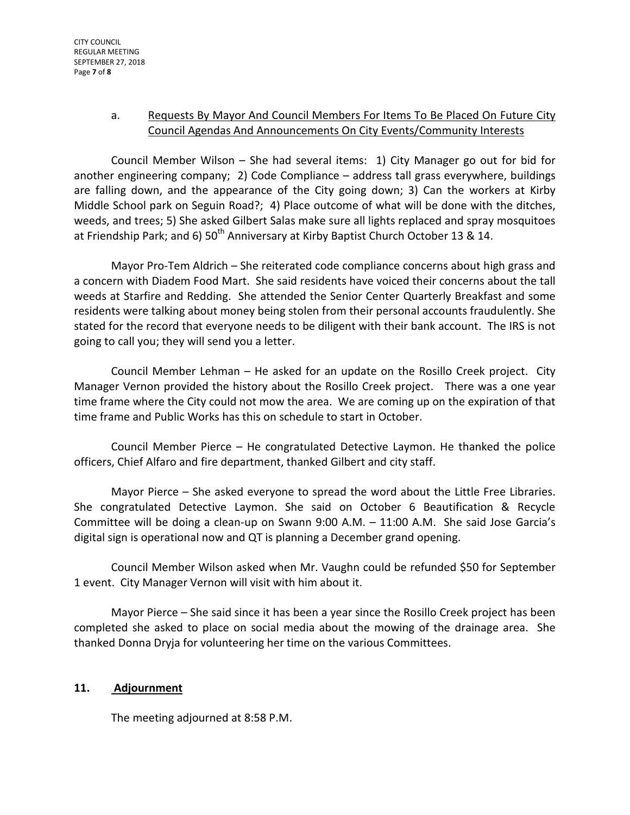# a. Requests By Mayor And Council Members For Items To Be Placed On Future City Council Agendas And Announcements On City Events/Community Interests

Council Member Wilson – She had several items: 1) City Manager go out for bid for another engineering company; 2) Code Compliance – address tall grass everywhere, buildings are falling down, and the appearance of the City going down; 3) Can the workers at Kirby Middle School park on Seguin Road?; 4) Place outcome of what will be done with the ditches, weeds, and trees; 5) She asked Gilbert Salas make sure all lights replaced and spray mosquitoes at Friendship Park; and 6)  $50^{th}$  Anniversary at Kirby Baptist Church October 13 & 14.

Mayor Pro-Tem Aldrich – She reiterated code compliance concerns about high grass and a concern with Diadem Food Mart. She said residents have voiced their concerns about the tall weeds at Starfire and Redding. She attended the Senior Center Quarterly Breakfast and some residents were talking about money being stolen from their personal accounts fraudulently. She stated for the record that everyone needs to be diligent with their bank account. The IRS is not going to call you; they will send you a letter.

Council Member Lehman – He asked for an update on the Rosillo Creek project. City Manager Vernon provided the history about the Rosillo Creek project. There was a one year time frame where the City could not mow the area. We are coming up on the expiration of that time frame and Public Works has this on schedule to start in October.

Council Member Pierce – He congratulated Detective Laymon. He thanked the police officers, Chief Alfaro and fire department, thanked Gilbert and city staff.

Mayor Pierce – She asked everyone to spread the word about the Little Free Libraries. She congratulated Detective Laymon. She said on October 6 Beautification & Recycle Committee will be doing a clean-up on Swann 9:00 A.M. – 11:00 A.M. She said Jose Garcia's digital sign is operational now and QT is planning a December grand opening.

Council Member Wilson asked when Mr. Vaughn could be refunded \$50 for September 1 event. City Manager Vernon will visit with him about it.

Mayor Pierce – She said since it has been a year since the Rosillo Creek project has been completed she asked to place on social media about the mowing of the drainage area. She thanked Donna Dryja for volunteering her time on the various Committees.

# **11. Adjournment**

The meeting adjourned at 8:58 P.M.